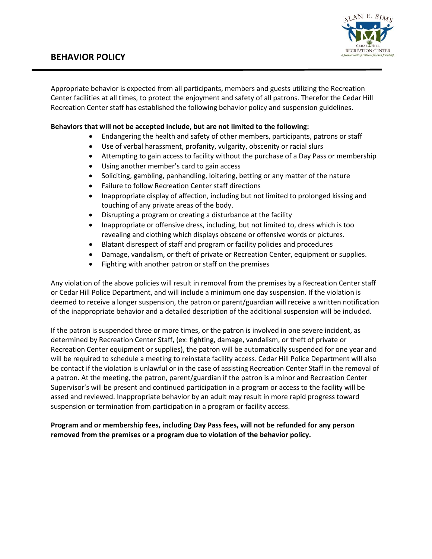

Appropriate behavior is expected from all participants, members and guests utilizing the Recreation Center facilities at all times, to protect the enjoyment and safety of all patrons. Therefor the Cedar Hill Recreation Center staff has established the following behavior policy and suspension guidelines.

## **Behaviors that will not be accepted include, but are not limited to the following:**

- Endangering the health and safety of other members, participants, patrons or staff
- Use of verbal harassment, profanity, vulgarity, obscenity or racial slurs
- Attempting to gain access to facility without the purchase of a Day Pass or membership
- Using another member's card to gain access

**BEHAVIOR POLICY**

- Soliciting, gambling, panhandling, loitering, betting or any matter of the nature
- Failure to follow Recreation Center staff directions
- Inappropriate display of affection, including but not limited to prolonged kissing and touching of any private areas of the body.
- Disrupting a program or creating a disturbance at the facility
- Inappropriate or offensive dress, including, but not limited to, dress which is too revealing and clothing which displays obscene or offensive words or pictures.
- Blatant disrespect of staff and program or facility policies and procedures
- Damage, vandalism, or theft of private or Recreation Center, equipment or supplies.
- Fighting with another patron or staff on the premises

Any violation of the above policies will result in removal from the premises by a Recreation Center staff or Cedar Hill Police Department, and will include a minimum one day suspension. If the violation is deemed to receive a longer suspension, the patron or parent/guardian will receive a written notification of the inappropriate behavior and a detailed description of the additional suspension will be included.

If the patron is suspended three or more times, or the patron is involved in one severe incident, as determined by Recreation Center Staff, (ex: fighting, damage, vandalism, or theft of private or Recreation Center equipment or supplies), the patron will be automatically suspended for one year and will be required to schedule a meeting to reinstate facility access. Cedar Hill Police Department will also be contact if the violation is unlawful or in the case of assisting Recreation Center Staff in the removal of a patron. At the meeting, the patron, parent/guardian if the patron is a minor and Recreation Center Supervisor's will be present and continued participation in a program or access to the facility will be assed and reviewed. Inappropriate behavior by an adult may result in more rapid progress toward suspension or termination from participation in a program or facility access.

**Program and or membership fees, including Day Pass fees, will not be refunded for any person removed from the premises or a program due to violation of the behavior policy.**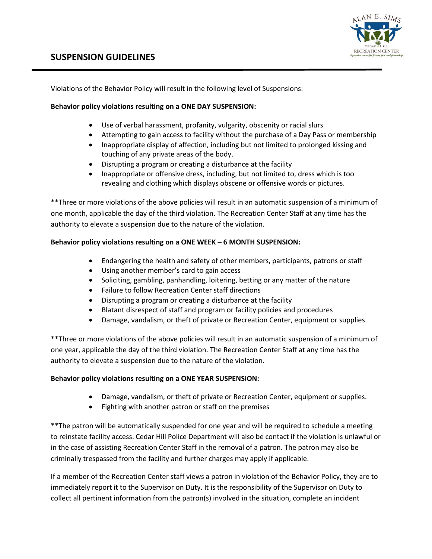

Violations of the Behavior Policy will result in the following level of Suspensions:

## **Behavior policy violations resulting on a ONE DAY SUSPENSION:**

- Use of verbal harassment, profanity, vulgarity, obscenity or racial slurs
- Attempting to gain access to facility without the purchase of a Day Pass or membership
- Inappropriate display of affection, including but not limited to prolonged kissing and touching of any private areas of the body.
- Disrupting a program or creating a disturbance at the facility
- Inappropriate or offensive dress, including, but not limited to, dress which is too revealing and clothing which displays obscene or offensive words or pictures.

\*\*Three or more violations of the above policies will result in an automatic suspension of a minimum of one month, applicable the day of the third violation. The Recreation Center Staff at any time has the authority to elevate a suspension due to the nature of the violation.

## **Behavior policy violations resulting on a ONE WEEK – 6 MONTH SUSPENSION:**

- Endangering the health and safety of other members, participants, patrons or staff
- Using another member's card to gain access
- Soliciting, gambling, panhandling, loitering, betting or any matter of the nature
- Failure to follow Recreation Center staff directions
- Disrupting a program or creating a disturbance at the facility
- Blatant disrespect of staff and program or facility policies and procedures
- Damage, vandalism, or theft of private or Recreation Center, equipment or supplies.

\*\*Three or more violations of the above policies will result in an automatic suspension of a minimum of one year, applicable the day of the third violation. The Recreation Center Staff at any time has the authority to elevate a suspension due to the nature of the violation.

## **Behavior policy violations resulting on a ONE YEAR SUSPENSION:**

- Damage, vandalism, or theft of private or Recreation Center, equipment or supplies.
- Fighting with another patron or staff on the premises

\*\*The patron will be automatically suspended for one year and will be required to schedule a meeting to reinstate facility access. Cedar Hill Police Department will also be contact if the violation is unlawful or in the case of assisting Recreation Center Staff in the removal of a patron. The patron may also be criminally trespassed from the facility and further charges may apply if applicable.

If a member of the Recreation Center staff views a patron in violation of the Behavior Policy, they are to immediately report it to the Supervisor on Duty. It is the responsibility of the Supervisor on Duty to collect all pertinent information from the patron(s) involved in the situation, complete an incident